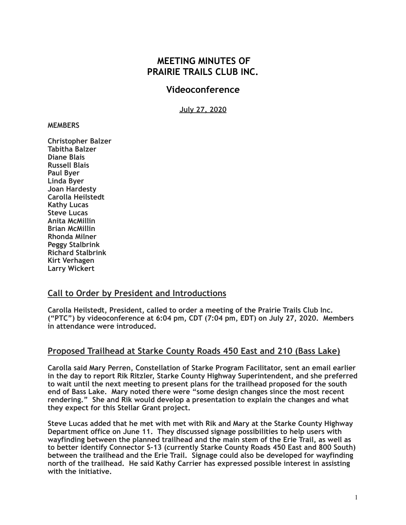## **MEETING MINUTES OF PRAIRIE TRAILS CLUB INC.**

### **Videoconference**

**July 27, 2020**

#### **MEMBERS**

**Christopher Balzer Tabitha Balzer Diane Blais Russell Blais Paul Byer Linda Byer Joan Hardesty Carolla Heilstedt Kathy Lucas Steve Lucas Anita McMillin Brian McMillin Rhonda Milner Peggy Stalbrink Richard Stalbrink Kirt Verhagen Larry Wickert** 

#### **Call to Order by President and Introductions**

**Carolla Heilstedt, President, called to order a meeting of the Prairie Trails Club Inc. ("PTC") by videoconference at 6:04 pm, CDT (7:04 pm, EDT) on July 27, 2020. Members in attendance were introduced.** 

#### **Proposed Trailhead at Starke County Roads 450 East and 210 (Bass Lake)**

**Carolla said Mary Perren, Constellation of Starke Program Facilitator, sent an email earlier in the day to report Rik Ritzler, Starke County Highway Superintendent, and she preferred to wait until the next meeting to present plans for the trailhead proposed for the south end of Bass Lake. Mary noted there were "some design changes since the most recent rendering." She and Rik would develop a presentation to explain the changes and what they expect for this Stellar Grant project.** 

**Steve Lucas added that he met with met with Rik and Mary at the Starke County Highway Department office on June 11. They discussed signage possibilities to help users with wayfinding between the planned trailhead and the main stem of the Erie Trail, as well as to better identify Connector S-13 (currently Starke County Roads 450 East and 800 South) between the trailhead and the Erie Trail. Signage could also be developed for wayfinding north of the trailhead. He said Kathy Carrier has expressed possible interest in assisting with the initiative.**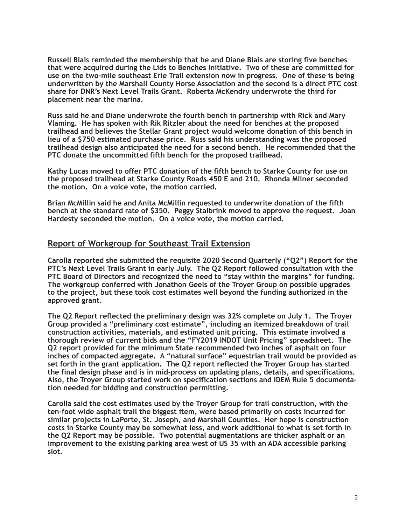**Russell Blais reminded the membership that he and Diane Blais are storing five benches that were acquired during the Lids to Benches Initiative. Two of these are committed for use on the two-mile southeast Erie Trail extension now in progress. One of these is being underwritten by the Marshall County Horse Association and the second is a direct PTC cost share for DNR's Next Level Trails Grant. Roberta McKendry underwrote the third for placement near the marina.** 

**Russ said he and Diane underwrote the fourth bench in partnership with Rick and Mary Vlaming. He has spoken with Rik Ritzler about the need for benches at the proposed trailhead and believes the Stellar Grant project would welcome donation of this bench in lieu of a \$750 estimated purchase price. Russ said his understanding was the proposed trailhead design also anticipated the need for a second bench. He recommended that the PTC donate the uncommitted fifth bench for the proposed trailhead.** 

**Kathy Lucas moved to offer PTC donation of the fifth bench to Starke County for use on the proposed trailhead at Starke County Roads 450 E and 210. Rhonda Milner seconded the motion. On a voice vote, the motion carried.** 

**Brian McMillin said he and Anita McMillin requested to underwrite donation of the fifth bench at the standard rate of \$350. Peggy Stalbrink moved to approve the request. Joan Hardesty seconded the motion. On a voice vote, the motion carried.** 

#### **Report of Workgroup for Southeast Trail Extension**

**Carolla reported she submitted the requisite 2020 Second Quarterly ("Q2") Report for the PTC's Next Level Trails Grant in early July. The Q2 Report followed consultation with the PTC Board of Directors and recognized the need to "stay within the margins" for funding. The workgroup conferred with Jonathon Geels of the Troyer Group on possible upgrades to the project, but these took cost estimates well beyond the funding authorized in the approved grant.** 

**The Q2 Report reflected the preliminary design was 32% complete on July 1. The Troyer Group provided a "preliminary cost estimate", including an itemized breakdown of trail construction activities, materials, and estimated unit pricing. This estimate involved a thorough review of current bids and the "FY2019 INDOT Unit Pricing" spreadsheet. The Q2 report provided for the minimum State recommended two inches of asphalt on four inches of compacted aggregate. A "natural surface" equestrian trail would be provided as set forth in the grant application. The Q2 report reflected the Troyer Group has started the final design phase and is in mid-process on updating plans, details, and specifications. Also, the Troyer Group started work on specification sections and IDEM Rule 5 documentation needed for bidding and construction permitting.** 

**Carolla said the cost estimates used by the Troyer Group for trail construction, with the ten-foot wide asphalt trail the biggest item, were based primarily on costs incurred for similar projects in LaPorte, St. Joseph, and Marshall Counties. Her hope is construction costs in Starke County may be somewhat less, and work additional to what is set forth in the Q2 Report may be possible. Two potential augmentations are thicker asphalt or an improvement to the existing parking area west of US 35 with an ADA accessible parking slot.**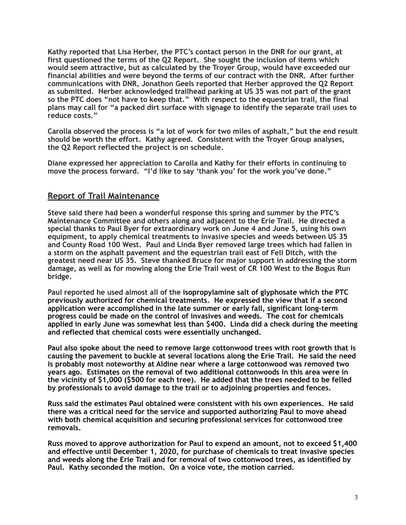**Kathy reported that Lisa Herber, the PTC's contact person in the DNR for our grant, at first questioned the terms of the Q2 Report. She sought the inclusion of items which would seem attractive, but as calculated by the Troyer Group, would have exceeded our financial abilities and were beyond the terms of our contract with the DNR. After further communications with DNR, Jonathon Geels reported that Herber approved the Q2 Report as submitted. Herber acknowledged trailhead parking at US 35 was not part of the grant so the PTC does "not have to keep that." With respect to the equestrian trail, the final plans may call for "a packed dirt surface with signage to identify the separate trail uses to reduce costs."** 

**Carolla observed the process is "a lot of work for two miles of asphalt," but the end result should be worth the effort. Kathy agreed. Consistent with the Troyer Group analyses, the Q2 Report reflected the project is on schedule.** 

**Diane expressed her appreciation to Carolla and Kathy for their efforts in continuing to move the process forward. "I'd like to say 'thank you' for the work you've done."**

#### **Report of Trail Maintenance**

**Steve said there had been a wonderful response this spring and summer by the PTC's Maintenance Committee and others along and adjacent to the Erie Trail. He directed a special thanks to Paul Byer for extraordinary work on June 4 and June 5, using his own equipment, to apply chemical treatments to invasive species and weeds between US 35 and County Road 100 West. Paul and Linda Byer removed large trees which had fallen in a storm on the asphalt pavement and the equestrian trail east of Fell Ditch, with the greatest need near US 35. Steve thanked Bruce for major support in addressing the storm damage, as well as for mowing along the Erie Trail west of CR 100 West to the Bogus Run bridge.** 

**Paul reported he used almost all of the isopropylamine salt of glyphosate which the PTC previously authorized for chemical treatments. He expressed the view that if a second application were accomplished in the late summer or early fall, significant long-term progress could be made on the control of invasives and weeds. The cost for chemicals applied in early June was somewhat less than \$400. Linda did a check during the meeting and reflected that chemical costs were essentially unchanged.** 

**Paul also spoke about the need to remove large cottonwood trees with root growth that is causing the pavement to buckle at several locations along the Erie Trail. He said the need is probably most noteworthy at Aldine near where a large cottonwood was removed two years ago. Estimates on the removal of two additional cottonwoods in this area were in the vicinity of \$1,000 (\$500 for each tree). He added that the trees needed to be felled by professionals to avoid damage to the trail or to adjoining properties and fences.** 

**Russ said the estimates Paul obtained were consistent with his own experiences. He said there was a critical need for the service and supported authorizing Paul to move ahead with both chemical acquisition and securing professional services for cottonwood tree removals.** 

**Russ moved to approve authorization for Paul to expend an amount, not to exceed \$1,400 and effective until December 1, 2020, for purchase of chemicals to treat invasive species and weeds along the Erie Trail and for removal of two cottonwood trees, as identified by Paul. Kathy seconded the motion. On a voice vote, the motion carried.**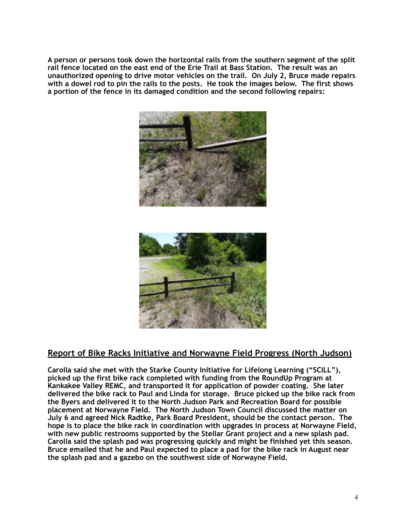**A person or persons took down the horizontal rails from the southern segment of the split rail fence located on the east end of the Erie Trail at Bass Station. The result was an unauthorized opening to drive motor vehicles on the trail. On July 2, Bruce made repairs with a dowel rod to pin the rails to the posts. He took the images below. The first shows a portion of the fence in its damaged condition and the second following repairs:** 



## **Report of Bike Racks Initiative and Norwayne Field Progress (North Judson)**

**Carolla said she met with the Starke County Initiative for Lifelong Learning ("SCILL"), picked up the first bike rack completed with funding from the RoundUp Program at Kankakee Valley REMC, and transported it for application of powder coating. She later delivered the bike rack to Paul and Linda for storage. Bruce picked up the bike rack from the Byers and delivered it to the North Judson Park and Recreation Board for possible placement at Norwayne Field. The North Judson Town Council discussed the matter on July 6 and agreed Nick Radtke, Park Board President, should be the contact person. The hope is to place the bike rack in coordination with upgrades in process at Norwayne Field, with new public restrooms supported by the Stellar Grant project and a new splash pad. Carolla said the splash pad was progressing quickly and might be finished yet this season. Bruce emailed that he and Paul expected to place a pad for the bike rack in August near the splash pad and a gazebo on the southwest side of Norwayne Field.**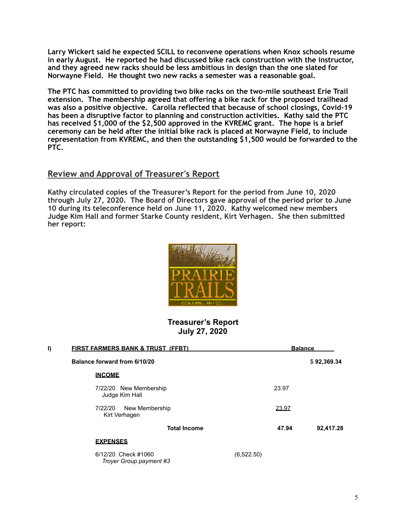**Larry Wickert said he expected SCILL to reconvene operations when Knox schools resume in early August. He reported he had discussed bike rack construction with the instructor, and they agreed new racks should be less ambitious in design than the one slated for Norwayne Field. He thought two new racks a semester was a reasonable goal.** 

**The PTC has committed to providing two bike racks on the two-mile southeast Erie Trail extension. The membership agreed that offering a bike rack for the proposed trailhead was also a positive objective. Carolla reflected that because of school closings, Covid-19 has been a disruptive factor to planning and construction activities. Kathy said the PTC has received \$1,000 of the \$2,500 approved in the KVREMC grant. The hope is a brief ceremony can be held after the initial bike rack is placed at Norwayne Field, to include representation from KVREMC, and then the outstanding \$1,500 would be forwarded to the PTC.** 

#### **Review and Approval of Treasurer's Report**

**Kathy circulated copies of the Treasurer's Report for the period from June 10, 2020 through July 27, 2020. The Board of Directors gave approval of the period prior to June 10 during its teleconference held on June 11, 2020. Kathy welcomed new members Judge Kim Hall and former Starke County resident, Kirt Verhagen. She then submitted her report:** 



#### **Treasurer's Report July 27, 2020**

| I) | <b>FIRST FARMERS BANK &amp; TRUST (FFBT)</b>   |            | <b>Balance</b> |             |  |
|----|------------------------------------------------|------------|----------------|-------------|--|
|    | Balance forward from 6/10/20                   |            |                | \$92,369.34 |  |
|    | <b>INCOME</b>                                  |            |                |             |  |
|    | 7/22/20 New Membership<br>Judge Kim Hall       |            | 23.97          |             |  |
|    | New Membership<br>7/22/20<br>Kirt Verhagen     |            | 23.97          |             |  |
|    | <b>Total Income</b>                            |            | 47.94          | 92,417.28   |  |
|    | <b>EXPENSES</b>                                |            |                |             |  |
|    | 6/12/20 Check #1060<br>Troyer Group payment #3 | (6,522.50) |                |             |  |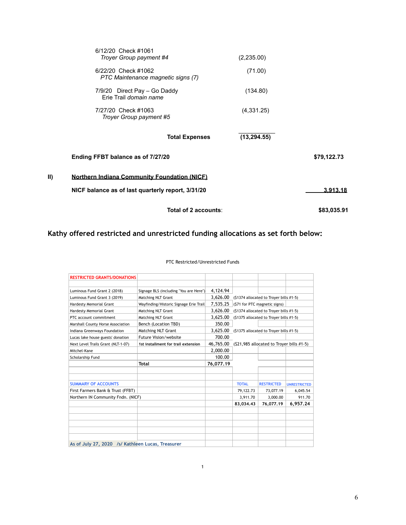|     | Total of 2 accounts:                                                                                     |              | \$83,035.91 |
|-----|----------------------------------------------------------------------------------------------------------|--------------|-------------|
| II) | <b>Northern Indiana Community Foundation (NICF)</b><br>NICF balance as of last quarterly report, 3/31/20 |              | 3.913.18    |
|     | Ending FFBT balance as of 7/27/20                                                                        |              | \$79,122.73 |
|     | <b>Total Expenses</b>                                                                                    | (13, 294.55) |             |
|     | 7/27/20 Check #1063<br>Troyer Group payment #5                                                           | (4,331.25)   |             |
|     | 7/9/20 Direct Pay - Go Daddy<br>Erie Trail domain name                                                   | (134.80)     |             |
|     | 6/22/20 Check #1062<br>PTC Maintenance magnetic signs (7)                                                | (71.00)      |             |
|     | 6/12/20 Check #1061<br>Troyer Group payment #4                                                           | (2,235.00)   |             |

**Kathy offered restricted and unrestricted funding allocations as set forth below:**

| <b>RESTRICTED GRANTS/DONATIONS</b>                |                                        |           |                                           |                   |                     |
|---------------------------------------------------|----------------------------------------|-----------|-------------------------------------------|-------------------|---------------------|
|                                                   |                                        |           |                                           |                   |                     |
| Luminous Fund Grant 2 (2018)                      | Signage BLS (including "You are Here") | 4,124.94  |                                           |                   |                     |
| Luminous Fund Grant 3 (2019)                      | Matching NLT Grant                     | 3.626.00  | (\$1374 allocated to Troyer bills #1-5)   |                   |                     |
| Hardesty Memorial Grant                           | Wayfinding/Historic Signage Erie Trail | 7.535.25  | (\$71 for PTC magnetic signs)             |                   |                     |
| Hardesty Memorial Grant                           | Matching NLT Grant                     | 3,626.00  | (\$1374 allocated to Troyer bills #1-5)   |                   |                     |
| PTC account commitment                            | Matching NLT Grant                     | 3,625.00  | (\$1375 allocated to Troyer bills #1-5)   |                   |                     |
| Marshall County Horse Association                 | Bench (Location TBD)                   | 350.00    |                                           |                   |                     |
| Indiana Greenways Foundation                      | <b>Matching NLT Grant</b>              | 3,625.00  | (\$1375 allocated to Troyer bills #1-5)   |                   |                     |
| Lucas lake house guests' donation                 | Future Vision/website                  | 700.00    |                                           |                   |                     |
| Next Level Trails Grant (NLT-1-07)                | 1st installment for trail extension    | 46,765.00 | (\$21,985 allocated to Troyer bills #1-5) |                   |                     |
| Mitchel-Kane                                      |                                        | 2,000.00  |                                           |                   |                     |
| Scholarship Fund                                  |                                        | 100.00    |                                           |                   |                     |
|                                                   | Total                                  | 76,077.19 |                                           |                   |                     |
|                                                   |                                        |           |                                           |                   |                     |
|                                                   |                                        |           |                                           |                   |                     |
| <b>SUMMARY OF ACCOUNTS</b>                        |                                        |           | <b>TOTAL</b>                              | <b>RESTRICTED</b> | <b>UNRESTRICTED</b> |
| First Farmers Bank & Trust (FFBT)                 |                                        |           | 79,122.73                                 | 73,077.19         | 6,045.54            |
| Northern IN Community Fndn. (NICF)                |                                        |           | 3,911.70                                  | 3,000.00          | 911.70              |
|                                                   |                                        |           | 83,034.43                                 | 76,077.19         | 6,957.24            |
|                                                   |                                        |           |                                           |                   |                     |
|                                                   |                                        |           |                                           |                   |                     |
|                                                   |                                        |           |                                           |                   |                     |
|                                                   |                                        |           |                                           |                   |                     |
|                                                   |                                        |           |                                           |                   |                     |
| As of July 27, 2020 /s/ Kathleen Lucas, Treasurer |                                        |           |                                           |                   |                     |

1

PTC Restricted/Unrestricted Funds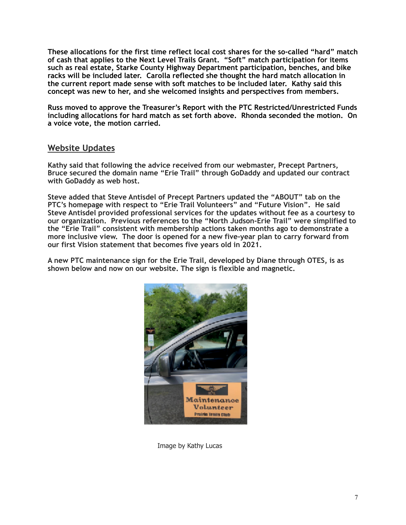**These allocations for the first time reflect local cost shares for the so-called "hard" match of cash that applies to the Next Level Trails Grant. "Soft" match participation for items such as real estate, Starke County Highway Department participation, benches, and bike racks will be included later. Carolla reflected she thought the hard match allocation in the current report made sense with soft matches to be included later. Kathy said this concept was new to her, and she welcomed insights and perspectives from members.** 

**Russ moved to approve the Treasurer's Report with the PTC Restricted/Unrestricted Funds including allocations for hard match as set forth above. Rhonda seconded the motion. On a voice vote, the motion carried.** 

#### **Website Updates**

**Kathy said that following the advice received from our webmaster, Precept Partners, Bruce secured the domain name "Erie Trail" through GoDaddy and updated our contract with GoDaddy as web host.** 

**Steve added that Steve Antisdel of Precept Partners updated the "ABOUT" tab on the PTC's homepage with respect to "Erie Trail Volunteers" and "Future Vision". He said Steve Antisdel provided professional services for the updates without fee as a courtesy to our organization. Previous references to the "North Judson-Erie Trail" were simplified to the "Erie Trail" consistent with membership actions taken months ago to demonstrate a more inclusive view. The door is opened for a new five-year plan to carry forward from our first Vision statement that becomes five years old in 2021.** 

**A new PTC maintenance sign for the Erie Trail, developed by Diane through OTES, is as shown below and now on our website. The sign is flexible and magnetic.**



Image by Kathy Lucas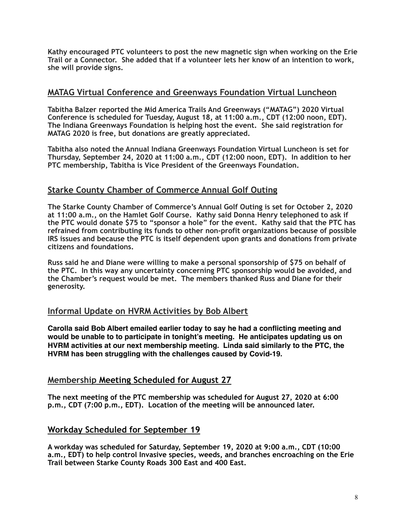**Kathy encouraged PTC volunteers to post the new magnetic sign when working on the Erie Trail or a Connector. She added that if a volunteer lets her know of an intention to work, she will provide signs.** 

#### **MATAG Virtual Conference and Greenways Foundation Virtual Luncheon**

**Tabitha Balzer reported the Mid America Trails And Greenways ("MATAG") 2020 Virtual Conference is scheduled for Tuesday, August 18, at 11:00 a.m., CDT (12:00 noon, EDT). The Indiana Greenways Foundation is helping host the event. She said registration for MATAG 2020 is free, but donations are greatly appreciated.** 

**Tabitha also noted the Annual Indiana Greenways Foundation Virtual Luncheon is set for Thursday, September 24, 2020 at 11:00 a.m., CDT (12:00 noon, EDT). In addition to her PTC membership, Tabitha is Vice President of the Greenways Foundation.**

#### **Starke County Chamber of Commerce Annual Golf Outing**

**The Starke County Chamber of Commerce's Annual Golf Outing is set for October 2, 2020 at 11:00 a.m., on the Hamlet Golf Course. Kathy said Donna Henry telephoned to ask if the PTC would donate \$75 to "sponsor a hole" for the event. Kathy said that the PTC has refrained from contributing its funds to other non-profit organizations because of possible IRS issues and because the PTC is itself dependent upon grants and donations from private citizens and foundations.** 

**Russ said he and Diane were willing to make a personal sponsorship of \$75 on behalf of the PTC. In this way any uncertainty concerning PTC sponsorship would be avoided, and the Chamber's request would be met. The members thanked Russ and Diane for their generosity.** 

### **Informal Update on HVRM Activities by Bob Albert**

**Carolla said Bob Albert emailed earlier today to say he had a conflicting meeting and would be unable to to participate in tonight's meeting. He anticipates updating us on HVRM activities at our next membership meeting. Linda said similarly to the PTC, the HVRM has been struggling with the challenges caused by Covid-19.**

#### **Membership Meeting Scheduled for August 27**

**The next meeting of the PTC membership was scheduled for August 27, 2020 at 6:00 p.m., CDT (7:00 p.m., EDT). Location of the meeting will be announced later.** 

#### **Workday Scheduled for September 19**

**A workday was scheduled for Saturday, September 19, 2020 at 9:00 a.m., CDT (10:00 a.m., EDT) to help control Invasive species, weeds, and branches encroaching on the Erie Trail between Starke County Roads 300 East and 400 East.**